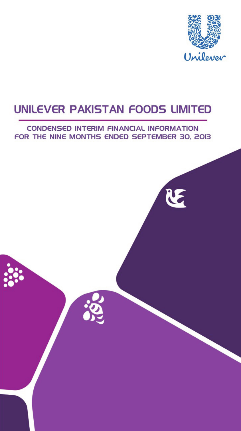

# **CONDENSED INTERIM FINANCIAL INFORMATION** FOR THE NINE MONTHS ENDED SEPTEMBER 30, 2013

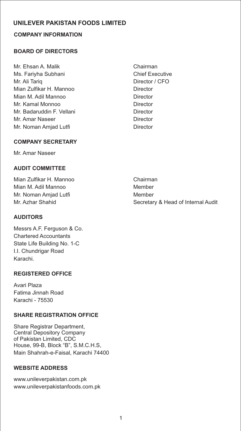# **COMPANY INFORMATION**

## **BOARD OF DIRECTORS**

- Mr. Ehsan A. Malik Chairman Ms. Fariyha Subhani Chief Executive Mr. Ali Tariq **Director / CFO** Mian Zulfikar H. Mannoo **Director** Mian M. Adil Mannoo Director Mr. Kamal Monnoo Director Mr. Badaruddin F. Vellani **Director** Mr. Amar Naseer **Director** Director Mr. Noman Amjad Lutfi **Director** Director
	-

## **COMPANY SECRETARY**

Mr. Amar Naseer

## **AUDIT COMMITTEE**

Mian Zulfikar H. Mannoo Chairman Mian M. Adil Mannoo Member Mr. Noman Amjad Lutfi Member

## **AUDITORS**

Messrs A.F. Ferguson & Co. Chartered Accountants State Life Building No. 1-C I.I. Chundrigar Road Karachi.

#### **REGISTERED OFFICE**

Avari Plaza Fatima Jinnah Road Karachi - 75530

#### **SHARE REGISTRATION OFFICE**

Share Registrar Department, Central Depository Company of Pakistan Limited, CDC House, 99-B, Block "B", S.M.C.H.S, Main Shahrah-e-Faisal, Karachi 74400

## **WEBSITE ADDRESS**

www.unileverpakistan.com.pk www.unileverpakistanfoods.com.pk

Mr. Azhar Shahid Secretary & Head of Internal Audit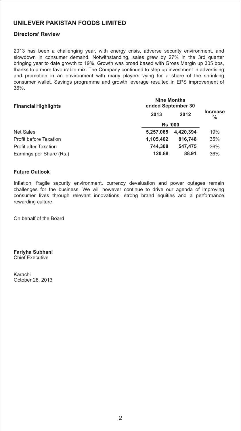#### **Directors' Review**

2013 has been a challenging year, with energy crisis, adverse security environment, and slowdown in consumer demand. Notwithstanding, sales grew by 27% in the 3rd quarter bringing year to date growth to 19%. Growth was broad based with Gross Margin up 305 bps, thanks to a more favourable mix. The Company continued to step up investment in advertising and promotion in an environment with many players vying for a share of the shrinking consumer wallet. Savings programme and growth leverage resulted in EPS improvement of 36%.

| <b>Financial Highlights</b>   | <b>Nine Months</b><br>ended September 30 |           |                         |
|-------------------------------|------------------------------------------|-----------|-------------------------|
|                               | 2013                                     | 2012      | <b>Increase</b><br>$\%$ |
|                               | <b>Rs</b> '000                           |           |                         |
| <b>Net Sales</b>              | 5.257.065                                | 4.420.394 | 19%                     |
| <b>Profit before Taxation</b> | 1,105,462                                | 816,748   | 35%                     |
| <b>Profit after Taxation</b>  | 744.308                                  | 547.475   | 36%                     |
| Earnings per Share (Rs.)      | 120.88                                   | 88.91     | 36%                     |

#### **Future Outlook**

Inflation, fragile security environment, currency devaluation and power outages remain challenges for the business. We will however continue to drive our agenda of improving consumer lives through relevant innovations, strong brand equities and a performance rewarding culture.

On behalf of the Board

**Fariyha Subhani** Chief Executive

Karachi October 28, 2013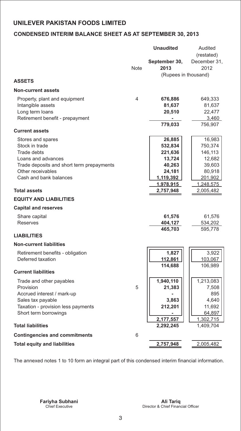# **CONDENSED INTERIM BALANCE SHEET AS AT SEPTEMBER 30, 2013**

|                                                                |             | <b>Unaudited</b>           | Audited                |
|----------------------------------------------------------------|-------------|----------------------------|------------------------|
|                                                                |             |                            | (restated)             |
|                                                                | <b>Note</b> | September 30,<br>2013      | December 31,<br>2012   |
|                                                                |             | (Rupees in thousand)       |                        |
| <b>ASSETS</b>                                                  |             |                            |                        |
| <b>Non-current assets</b>                                      |             |                            |                        |
| Property, plant and equipment                                  | 4           | 676,886                    | 649,333                |
| Intangible assets                                              |             | 81,637                     | 81,637                 |
| Long term loans                                                |             | 20,510                     | 22,477                 |
| Retirement benefit - prepayment                                |             |                            | 3,460                  |
|                                                                |             | 779,033                    | 756,907                |
| <b>Current assets</b>                                          |             |                            |                        |
| Stores and spares                                              |             | 26,885                     | 16,983                 |
| Stock in trade                                                 |             | 532,834                    | 750,374                |
| <b>Trade debts</b>                                             |             | 221,636                    | 146,113                |
| Loans and advances                                             |             | 13,724                     | 12,682                 |
| Trade deposits and short term prepayments<br>Other receivables |             | 40,263                     | 39,603                 |
| Cash and bank balances                                         |             | 24,181<br><u>1,119,392</u> | 80,918<br>201,902      |
|                                                                |             | 1,978,915                  | 1,248,575              |
| <b>Total assets</b>                                            |             | 2,757,948                  | 2,005,482              |
| <b>EQUITY AND LIABILITIES</b>                                  |             |                            |                        |
| <b>Capital and reserves</b>                                    |             |                            |                        |
| Share capital                                                  |             | 61,576                     | 61,576                 |
| Reserves                                                       |             | 404,127                    | 534,202                |
|                                                                |             | 465,703                    | 595,778                |
| <b>LIABILITIES</b>                                             |             |                            |                        |
| <b>Non-current liabilities</b>                                 |             |                            |                        |
| Retirement benefits - obligation                               |             | 1,827                      | 3,922                  |
| Deferred taxation                                              |             | 112,861                    | 103,067                |
|                                                                |             | 114,688                    | 106,989                |
| <b>Current liabilities</b>                                     |             |                            |                        |
| Trade and other payables                                       |             | 1,940,110                  | 1,213,083              |
| Provision                                                      | 5           | 21,383                     | 7,508                  |
| Accrued interest / mark-up                                     |             |                            | 895                    |
| Sales tax payable                                              |             | 3,863                      | 4,640                  |
| Taxation - provision less payments                             |             | 212,201                    | 11,692                 |
| Short term borrowings                                          |             |                            | 64,897                 |
| <b>Total liabilities</b>                                       |             | 2,177,557<br>2,292,245     | 1,302,715<br>1,409,704 |
|                                                                |             |                            |                        |
| <b>Contingencies and commitments</b>                           | 6           |                            |                        |
| <b>Total equity and liabilities</b>                            |             | 2,757,948                  | 2,005,482              |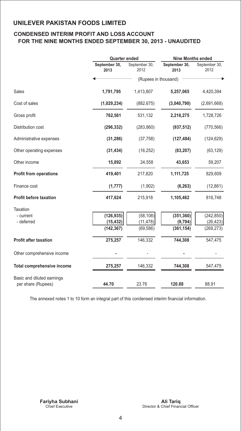## **CONDENSED INTERIM PROFIT AND LOSS ACCOUNT FOR THE NINE MONTHS ENDED SEPTEMBER 30, 2013 - UNAUDITED**

|                                   |                       | <b>Quarter ended</b>  |                       | <b>Nine Months ended</b> |  |
|-----------------------------------|-----------------------|-----------------------|-----------------------|--------------------------|--|
|                                   | September 30,<br>2013 | September 30,<br>2012 | September 30,<br>2013 | September 30,<br>2012    |  |
|                                   |                       | (Rupees in thousand)  |                       |                          |  |
| Sales                             | 1,791,795             | 1,413,807             | 5,257,065             | 4,420,394                |  |
| Cost of sales                     | (1,029,234)           | (882, 675)            | (3,040,790)           | (2,691,668)              |  |
| Gross profit                      | 762,561               | 531,132               | 2,216,275             | 1,728,726                |  |
| Distribution cost                 | (296, 332)            | (283, 860)            | (937, 512)            | (770, 566)               |  |
| Administrative expenses           | (31, 286)             | (37, 758)             | (127, 484)            | (124, 629)               |  |
| Other operating expenses          | (31, 434)             | (16, 252)             | (83, 207)             | (63, 129)                |  |
| Other income                      | 15,892                | 24,558                | 43,653                | 59,207                   |  |
| <b>Profit from operations</b>     | 419,401               | 217,820               | 1,111,725             | 829,609                  |  |
| Finance cost                      | (1, 777)              | (1,902)               | (6, 263)              | (12, 861)                |  |
| <b>Profit before taxation</b>     | 417,624               | 215,918               | 1,105,462             | 816,748                  |  |
| <b>Taxation</b>                   |                       |                       |                       |                          |  |
| - current                         | (126, 935)            | (58, 108)             | (351, 360)            | (242, 850)               |  |
| - deferred                        | (15, 432)             | (11, 478)             | (9, 794)              | (26, 423)                |  |
|                                   | (142, 367)            | (69, 586)             | (361, 154)            | (269, 273)               |  |
| <b>Profit after taxation</b>      | 275,257               | 146,332               | 744,308               | 547,475                  |  |
| Other comprehensive income        |                       |                       |                       |                          |  |
| <b>Total comprehensive income</b> | 275,257               | 146,332               | 744,308               | 547,475                  |  |
| Basic and diluted earnings        |                       |                       |                       |                          |  |
| per share (Rupees)                | 44.70                 | 23.76                 | 120.88                | 88.91                    |  |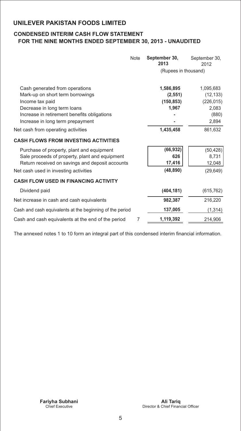## **CONDENSED INTERIM CASH FLOW STATEMENT FOR THE NINE MONTHS ENDED SEPTEMBER 30, 2013 - UNAUDITED**

|                                                                                                                                                                                                         | <b>Note</b> | September 30,<br>2013                        | September 30,<br>2012                                           |
|---------------------------------------------------------------------------------------------------------------------------------------------------------------------------------------------------------|-------------|----------------------------------------------|-----------------------------------------------------------------|
|                                                                                                                                                                                                         |             | (Rupees in thousand)                         |                                                                 |
| Cash generated from operations<br>Mark-up on short term borrowings<br>Income tax paid<br>Decrease in long term loans<br>Increase in retirement benefits obligations<br>Increase in long term prepayment |             | 1,586,895<br>(2, 551)<br>(150, 853)<br>1,967 | 1,095,683<br>(12, 133)<br>(226, 015)<br>2,083<br>(880)<br>2,894 |
| Net cash from operating activities                                                                                                                                                                      |             | 1,435,458                                    | 861,632                                                         |
| <b>CASH FLOWS FROM INVESTING ACTIVITIES</b>                                                                                                                                                             |             |                                              |                                                                 |
| Purchase of property, plant and equipment<br>Sale proceeds of property, plant and equipment<br>Return received on savings and deposit accounts<br>Net cash used in investing activities                 |             | (66, 932)<br>626<br>17,416<br>(48, 890)      | (50, 428)<br>8,731<br>12,048<br>(29, 649)                       |
| <b>CASH FLOW USED IN FINANCING ACTIVITY</b>                                                                                                                                                             |             |                                              |                                                                 |
| Dividend paid                                                                                                                                                                                           |             | (404, 181)                                   | (615, 762)                                                      |
| Net increase in cash and cash equivalents                                                                                                                                                               |             | 982,387                                      | 216,220                                                         |
| Cash and cash equivalents at the beginning of the period                                                                                                                                                |             | 137,005                                      | (1, 314)                                                        |
| Cash and cash equivalents at the end of the period                                                                                                                                                      | 7           | 1,119,392                                    | 214.906                                                         |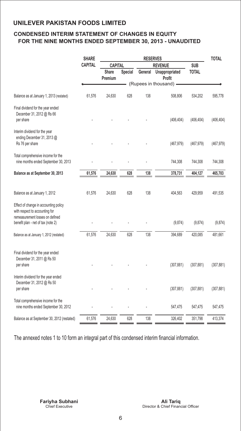## **CONDENSED INTERIM STATEMENT OF CHANGES IN EQUITY FOR THE NINE MONTHS ENDED SEPTEMBER 30, 2013 - UNAUDITED**

|                                                                                                                                                  | <b>SHARE</b>   | <b>RESERVES</b>         |         |         | <b>TOTAL</b>             |              |            |
|--------------------------------------------------------------------------------------------------------------------------------------------------|----------------|-------------------------|---------|---------|--------------------------|--------------|------------|
|                                                                                                                                                  | <b>CAPITAL</b> | CAPITAL                 |         |         | <b>REVENUE</b>           | <b>SUB</b>   |            |
|                                                                                                                                                  |                | <b>Share</b><br>Premium | Special | General | Unappropriated<br>Profit | <b>TOTAL</b> |            |
|                                                                                                                                                  |                |                         |         |         | (Rupees in thousand) -   |              |            |
| Balance as at January 1, 2013 (restated)                                                                                                         | 61,576         | 24,630                  | 628     | 138     | 508,806                  | 534,202      | 595,778    |
| Final dividend for the year ended<br>December 31, 2012 @ Rs 66<br>per share                                                                      |                |                         |         |         | (406, 404)               | (406, 404)   | (406, 404) |
| Interim dividend for the year<br>ending December 31, 2013 @<br>Rs 76 per share                                                                   |                |                         |         |         | (467, 979)               | (467, 979)   | (467, 979) |
| Total comprehensive income for the<br>nine months ended September 30, 2013                                                                       |                |                         |         |         | 744,308                  | 744,308      | 744,308    |
| Balance as at September 30, 2013                                                                                                                 | 61,576         | 24,630                  | 628     | 138     | 378,731                  | 404,127      | 465,703    |
| Balance as at January 1, 2012                                                                                                                    | 61,576         | 24,630                  | 628     | 138     | 404,563                  | 429,959      | 491,535    |
| Effect of change in accounting policy<br>with respect to accounting for<br>remeasurement losses on defined<br>benefit plan - net of tax (note 2) |                |                         |         |         | (9,874)                  | (9,874)      | (9,874)    |
| Balance as at January 1, 2012 (restated)                                                                                                         | 61,576         | 24,630                  | 628     | 138     | 394,689                  | 420,085      | 481,661    |
| Final dividend for the year ended<br>December 31, 2011 @ Rs 50<br>per share                                                                      |                |                         |         |         | (307, 881)               | (307, 881)   | (307, 881) |
| Interim dividend for the year ended<br>December 31, 2012 @ Rs 50<br>per share                                                                    |                |                         |         |         | (307, 881)               | (307, 881)   | (307, 881) |
| Total comprehensive income for the<br>nine months ended September 30, 2012                                                                       |                |                         |         |         | 547,475                  | 547,475      | 547,475    |
| Balance as at September 30, 2012 (restated)                                                                                                      | 61,576         | 24,630                  | 628     | 138     | 326,402                  | 351,798      | 413,374    |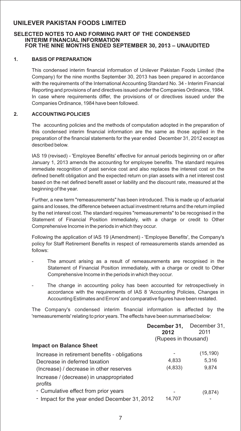#### **SELECTED NOTES TO AND FORMING PART OF THE CONDENSED INTERIM FINANCIAL INFORMATION FOR THE NINE MONTHS ENDED SEPTEMBER 30, 2013 – UNAUDITED**

#### **1. BASIS OF PREPARATION**

This condensed interim financial information of Unilever Pakistan Foods Limited (the Company) for the nine months September 30, 2013 has been prepared in accordance with the requirements of the International Accounting Standard No. 34 - Interim Financial Reporting and provisions of and directives issued under the Companies Ordinance, 1984. In case where requirements differ, the provisions of or directives issued under the Companies Ordinance, 1984 have been followed.

#### **2. ACCOUNTING POLICIES**

The accounting policies and the methods of computation adopted in the preparation of this condensed interim financial information are the same as those applied in the preparation of the financial statements for the year ended December 31, 2012 except as described below.

IAS 19 (revised) - 'Employee Benefits' effective for annual periods beginning on or after January 1, 2013 amends the accounting for employee benefits. The standard requires immediate recognition of past service cost and also replaces the interest cost on the defined benefit obligation and the expected return on plan assets with a net interest cost based on the net defined benefit asset or liability and the discount rate, measured at the beginning of the year.

Further, a new term "remeasurements" has been introduced. This is made up of actuarial gains and losses, the difference between actual investment returns and the return implied by the net interest cost. The standard requires "remeasurements" to be recognised in the Statement of Financial Position immediately, with a charge or credit to Other Comprehensive Income in the periods in which they occur.

Following the application of IAS 19 (Amendment) - 'Employee Benefits', the Company's policy for Staff Retirement Benefits in respect of remeasurements stands amended as follows:

- The amount arising as a result of remeasurements are recognised in the Statement of Financial Position immediately, with a charge or credit to Other Comprehensive Income in the periods in which they occur.
- The change in accounting policy has been accounted for retrospectively in accordance with the requirements of IAS 8 'Accounting Policies, Changes in Accounting Estimates and Errors' and comparative figures have been restated.

The Company's condensed interim financial information is affected by the 'remeasurements' relating to prior years. The effects have been summarised below:

|                                                    | December 31,<br>2012 | December 31.<br>2011 |
|----------------------------------------------------|----------------------|----------------------|
|                                                    | (Rupees in thousand) |                      |
| <b>Impact on Balance Sheet</b>                     |                      |                      |
| Increase in retirement benefits - obligations      |                      | (15, 190)            |
| Decrease in deferred taxation                      | 4,833                | 5.316                |
| (Increase) / decrease in other reserves            | (4,833)              | 9,874                |
| Increase / (decrease) in unappropriated<br>profits |                      |                      |
| - Cumulative effect from prior years               |                      | (9,874)              |
| - Impact for the year ended December 31, 2012      | 14.707               |                      |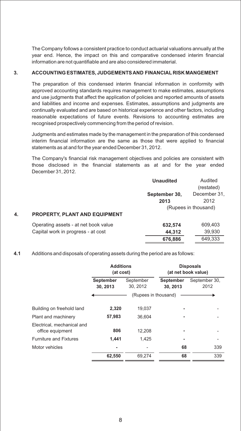The Company follows a consistent practice to conduct actuarial valuations annually at the year end. Hence, the impact on this and comparative condensed interim financial information are not quantifiable and are also considered immaterial.

#### **3. ACCOUNTING ESTIMATES, JUDGEMENTS AND FINANCIAL RISK MANGEMENT**

The preparation of this condensed interim financial information in conformity with approved accounting standards requires management to make estimates, assumptions and use judgments that affect the application of policies and reported amounts of assets and liabilities and income and expenses. Estimates, assumptions and judgments are continually evaluated and are based on historical experience and other factors, including reasonable expectations of future events. Revisions to accounting estimates are recognised prospectively commencing from the period of revision.

Judgments and estimates made by the management in the preparation of this condensed interim financial information are the same as those that were applied to financial statements as at and for the year ended December 31, 2012.

The Company's financial risk management objectives and policies are consistent with those disclosed in the financial statements as at and for the year ended December 31, 2012.

|    |                                      | <b>Unaudited</b> | Audited<br>(restated) |
|----|--------------------------------------|------------------|-----------------------|
|    |                                      | September 30,    | December 31,          |
|    |                                      | 2013             | 2012                  |
|    |                                      |                  | (Rupees in thousand)  |
| 4. | <b>PROPERTY, PLANT AND EQUIPMENT</b> |                  |                       |
|    | Operating assets - at net book value | 632,574          | 609,403               |
|    | Capital work in progress - at cost   | 44.312           | 39,930                |

**676,886** 649,333

#### **4.1** Additions and disposals of operating assets during the period are as follows:

|                                                | <b>Additions</b><br>(at cost) |                       |                              | <b>Disposals</b><br>(at net book value) |
|------------------------------------------------|-------------------------------|-----------------------|------------------------------|-----------------------------------------|
|                                                | <b>September</b><br>30, 2013  | September<br>30, 2012 | <b>September</b><br>30, 2013 | September 30,<br>2012                   |
|                                                |                               | (Rupees in thousand)  |                              |                                         |
| Building on freehold land                      | 2,320                         | 19,037                |                              |                                         |
| Plant and machinery                            | 57,983                        | 36.604                |                              |                                         |
| Electrical, mechanical and<br>office equipment | 806                           | 12,208                |                              |                                         |
| <b>Furniture and Fixtures</b>                  | 1.441                         | 1,425                 |                              |                                         |
| Motor vehicles                                 |                               |                       | 68                           | 339                                     |
|                                                | 62,550                        | 69,274                | 68                           | 339                                     |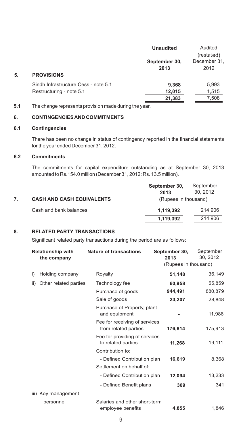|    |                                      | <b>Unaudited</b> | Audited      |
|----|--------------------------------------|------------------|--------------|
|    |                                      |                  | (restated)   |
|    |                                      | September 30,    | December 31, |
|    |                                      | 2013             | 2012         |
| 5. | <b>PROVISIONS</b>                    |                  |              |
|    | Sindh Infrastructure Cess - note 5.1 | 9,368            | 5,993        |
|    | Restructuring - note 5.1             | 12,015           | 1,515        |
|    |                                      | 21,383           | 7,508        |

**5.1** The change represents provision made during the year.

#### **6. CONTINGENCIES AND COMMITMENTS**

#### **6.1 Contingencies**

There has been no change in status of contingency reported in the financial statements for the year ended December 31, 2012.

#### **6.2 Commitments**

The commitments for capital expenditure outstanding as at September 30, 2013 amounted to Rs.154.0 million (December 31, 2012: Rs. 13.5 million).

|                                  | September 30,        | September |
|----------------------------------|----------------------|-----------|
|                                  | 2013                 | 30.2012   |
| <b>CASH AND CASH EQUIVALENTS</b> | (Rupees in thousand) |           |
| Cash and bank balances           | 1.119.392            | 214.906   |
|                                  | 1,119,392            | 214.906   |

## **8. RELATED PARTY TRANSACTIONS**

Significant related party transactions during the period are as follows:

|     | <b>Relationship with</b><br>the company | <b>Nature of transactions</b>                         | September 30,<br>2013<br>(Rupees in thousand) | September<br>30, 2012 |
|-----|-----------------------------------------|-------------------------------------------------------|-----------------------------------------------|-----------------------|
| i)  | Holding company                         | Royalty                                               | 51,148                                        | 36,149                |
| ii) | Other related parties                   | Technology fee                                        | 60,958                                        | 55,859                |
|     |                                         | Purchase of goods                                     | 944,491                                       | 880,879               |
|     |                                         | Sale of goods                                         | 23,207                                        | 28,848                |
|     |                                         | Purchase of Property, plant<br>and equipment          |                                               | 11,986                |
|     |                                         | Fee for receiving of services<br>from related parties | 176,814                                       | 175,913               |
|     |                                         | Fee for providing of services<br>to related parties   | 11,268                                        | 19,111                |
|     |                                         | Contribution to:                                      |                                               |                       |
|     |                                         | - Defined Contribution plan                           | 16,619                                        | 8,368                 |
|     |                                         | Settlement on behalf of:                              |                                               |                       |
|     |                                         | - Defined Contribution plan                           | 12,094                                        | 13,233                |
|     |                                         | - Defined Benefit plans                               | 309                                           | 341                   |
|     | iii) Key management                     |                                                       |                                               |                       |
|     | personnel                               | Salaries and other short-term<br>employee benefits    | 4,855                                         | 1,846                 |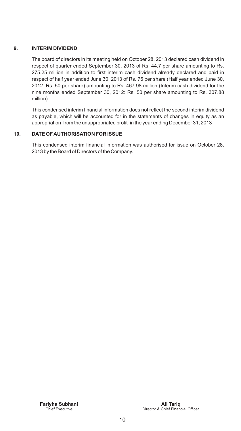#### **9. INTERIM DIVIDEND**

The board of directors in its meeting held on October 28, 2013 declared cash dividend in respect of quarter ended September 30, 2013 of Rs. 44.7 per share amounting to Rs. 275.25 million in addition to first interim cash dividend already declared and paid in respect of half year ended June 30, 2013 of Rs. 76 per share (Half year ended June 30, 2012: Rs. 50 per share) amounting to Rs. 467.98 million (Interim cash dividend for the nine months ended September 30, 2012: Rs. 50 per share amounting to Rs. 307.88 million).

This condensed interim financial information does not reflect the second interim dividend as payable, which will be accounted for in the statements of changes in equity as an appropriation from the unappropriated profit in the year ending December 31, 2013

#### **10. DATE OF AUTHORISATION FOR ISSUE**

This condensed interim financial information was authorised for issue on October 28, 2013 by the Board of Directors of the Company.